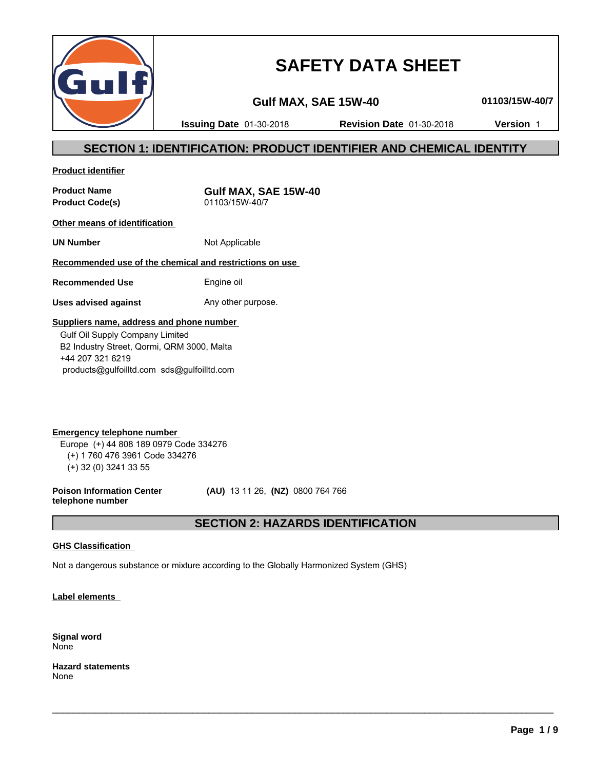

# **SAFETY DATA SHEET**

**Gulf MAX, SAE 15W-40 01103/15W-40/7**

**Issuing Date** 01-30-2018 **Revision Date** 01-30-2018 **Version** 1

# **SECTION 1: IDENTIFICATION: PRODUCT IDENTIFIER AND CHEMICAL IDENTITY**

**Product identifier**

**Product Code(s)** 01103/15W-40/7

**Product Name Gulf MAX, SAE 15W-40**

**Other means of identification** 

**UN Number** Not Applicable

## **Recommended use of the chemical and restrictions on use**

**Recommended Use** Engine oil

**Uses advised against** Any other purpose.

### **Suppliers name, address and phone number**

 Gulf Oil Supply Company Limited B2 Industry Street, Qormi, QRM 3000, Malta +44 207 321 6219 products@gulfoilltd.com sds@gulfoilltd.com

**Emergency telephone number**  Europe (+) 44 808 189 0979 Code 334276 (+) 1 760 476 3961 Code 334276 (+) 32 (0) 3241 33 55

**Poison Information Center telephone number**

 **(AU)** 13 11 26, **(NZ)** 0800 764 766

# **SECTION 2: HAZARDS IDENTIFICATION**

 $\_$  ,  $\_$  ,  $\_$  ,  $\_$  ,  $\_$  ,  $\_$  ,  $\_$  ,  $\_$  ,  $\_$  ,  $\_$  ,  $\_$  ,  $\_$  ,  $\_$  ,  $\_$  ,  $\_$  ,  $\_$  ,  $\_$  ,  $\_$  ,  $\_$  ,  $\_$  ,  $\_$  ,  $\_$  ,  $\_$  ,  $\_$  ,  $\_$  ,  $\_$  ,  $\_$  ,  $\_$  ,  $\_$  ,  $\_$  ,  $\_$  ,  $\_$  ,  $\_$  ,  $\_$  ,  $\_$  ,  $\_$  ,  $\_$  ,

### **GHS Classification**

Not a dangerous substance or mixture according to the Globally Harmonized System (GHS)

**Label elements** 

**Signal word** None

**Hazard statements** None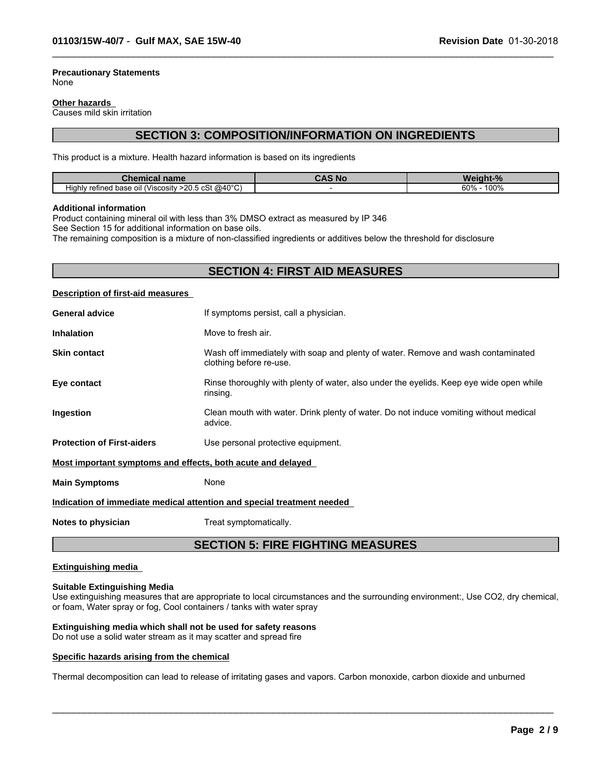#### **Precautionary Statements** None

#### **Other hazards**

Causes mild skin irritation

# **SECTION 3: COMPOSITION/INFORMATION ON INGREDIENTS**

 $\_$  ,  $\_$  ,  $\_$  ,  $\_$  ,  $\_$  ,  $\_$  ,  $\_$  ,  $\_$  ,  $\_$  ,  $\_$  ,  $\_$  ,  $\_$  ,  $\_$  ,  $\_$  ,  $\_$  ,  $\_$  ,  $\_$  ,  $\_$  ,  $\_$  ,  $\_$  ,  $\_$  ,  $\_$  ,  $\_$  ,  $\_$  ,  $\_$  ,  $\_$  ,  $\_$  ,  $\_$  ,  $\_$  ,  $\_$  ,  $\_$  ,  $\_$  ,  $\_$  ,  $\_$  ,  $\_$  ,  $\_$  ,  $\_$  ,

This product is a mixture. Health hazard information is based on its ingredients

| ----<br>name<br>Chen<br>шсаг                                           | , Nc | <b>n</b>                  |  |
|------------------------------------------------------------------------|------|---------------------------|--|
| $>$ 20.5 cSt @40°C)<br>.<br>refined base<br>oil (Viscosity ؛<br>Hiahlv |      | 100%<br>60%<br>$v_{\ell}$ |  |

#### **Additional information**

Product containing mineral oil with less than 3% DMSO extract as measured by IP 346

See Section 15 for additional information on base oils.

The remaining composition is a mixture of non-classified ingredients or additives below the threshold for disclosure

# **SECTION 4: FIRST AID MEASURES**

#### **Description of first-aid measures**

| <b>General advice</b>                                                  | If symptoms persist, call a physician.                                                                      |
|------------------------------------------------------------------------|-------------------------------------------------------------------------------------------------------------|
| <b>Inhalation</b>                                                      | Move to fresh air.                                                                                          |
| <b>Skin contact</b>                                                    | Wash off immediately with soap and plenty of water. Remove and wash contaminated<br>clothing before re-use. |
| Eye contact                                                            | Rinse thoroughly with plenty of water, also under the eyelids. Keep eye wide open while<br>rinsing.         |
| <b>Ingestion</b>                                                       | Clean mouth with water. Drink plenty of water. Do not induce vomiting without medical<br>advice.            |
| <b>Protection of First-aiders</b>                                      | Use personal protective equipment.                                                                          |
| Most important symptoms and effects, both acute and delayed            |                                                                                                             |
| <b>Main Symptoms</b>                                                   | None                                                                                                        |
| Indication of immediate medical attention and special treatment needed |                                                                                                             |

**Notes to physician** Treat symptomatically.

### **SECTION 5: FIRE FIGHTING MEASURES**

#### **Extinguishing media**

#### **Suitable Extinguishing Media**

Use extinguishing measures that are appropriate to local circumstances and the surrounding environment:, Use CO2, dry chemical, or foam, Water spray or fog, Cool containers / tanks with water spray

 $\_$  ,  $\_$  ,  $\_$  ,  $\_$  ,  $\_$  ,  $\_$  ,  $\_$  ,  $\_$  ,  $\_$  ,  $\_$  ,  $\_$  ,  $\_$  ,  $\_$  ,  $\_$  ,  $\_$  ,  $\_$  ,  $\_$  ,  $\_$  ,  $\_$  ,  $\_$  ,  $\_$  ,  $\_$  ,  $\_$  ,  $\_$  ,  $\_$  ,  $\_$  ,  $\_$  ,  $\_$  ,  $\_$  ,  $\_$  ,  $\_$  ,  $\_$  ,  $\_$  ,  $\_$  ,  $\_$  ,  $\_$  ,  $\_$  ,

### **Extinguishing media which shall not be used for safety reasons**

Do not use a solid water stream as it may scatter and spread fire

#### **Specific hazards arising from the chemical**

Thermal decomposition can lead to release of irritating gases and vapors. Carbon monoxide, carbon dioxide and unburned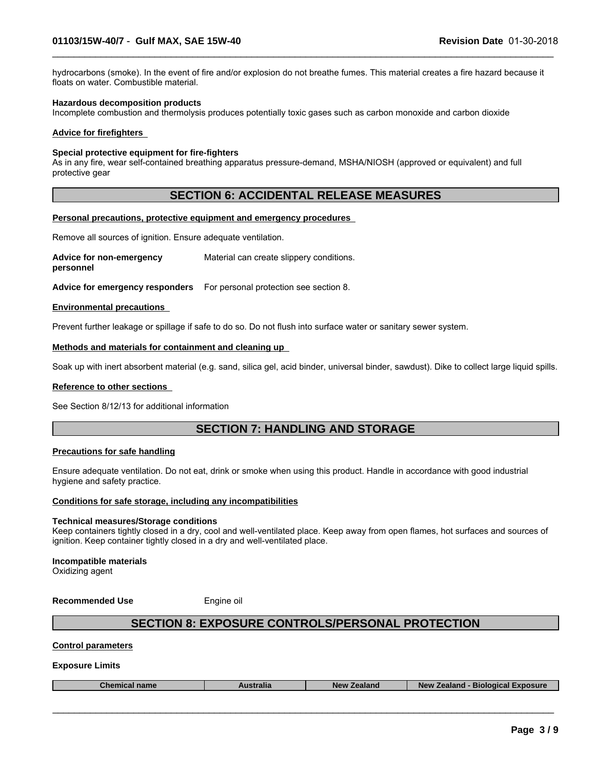hydrocarbons (smoke). In the event of fire and/or explosion do not breathe fumes. This material creates a fire hazard because it floats on water. Combustible material.

 $\_$  ,  $\_$  ,  $\_$  ,  $\_$  ,  $\_$  ,  $\_$  ,  $\_$  ,  $\_$  ,  $\_$  ,  $\_$  ,  $\_$  ,  $\_$  ,  $\_$  ,  $\_$  ,  $\_$  ,  $\_$  ,  $\_$  ,  $\_$  ,  $\_$  ,  $\_$  ,  $\_$  ,  $\_$  ,  $\_$  ,  $\_$  ,  $\_$  ,  $\_$  ,  $\_$  ,  $\_$  ,  $\_$  ,  $\_$  ,  $\_$  ,  $\_$  ,  $\_$  ,  $\_$  ,  $\_$  ,  $\_$  ,  $\_$  ,

#### **Hazardous decomposition products**

Incomplete combustion and thermolysis produces potentially toxic gases such as carbon monoxide and carbon dioxide

#### **Advice for firefighters**

#### **Special protective equipment for fire-fighters**

As in any fire, wear self-contained breathing apparatus pressure-demand, MSHA/NIOSH (approved or equivalent) and full protective gear

# **SECTION 6: ACCIDENTAL RELEASE MEASURES**

#### **Personal precautions, protective equipment and emergency procedures**

Remove all sources of ignition. Ensure adequate ventilation.

**Advice for non-emergency personnel** Material can create slippery conditions.

**Advice for emergency responders** For personal protection see section 8.

#### **Environmental precautions**

Prevent further leakage or spillage if safe to do so. Do not flush into surface water or sanitary sewer system.

#### **Methods and materials for containment and cleaning up**

Soak up with inert absorbent material (e.g. sand, silica gel, acid binder, universal binder, sawdust). Dike to collect large liquid spills.

#### **Reference to other sections**

See Section 8/12/13 for additional information

# **SECTION 7: HANDLING AND STORAGE**

#### **Precautions for safe handling**

Ensure adequate ventilation. Do not eat, drink or smoke when using this product. Handle in accordance with good industrial hygiene and safety practice.

### **Conditions for safe storage, including any incompatibilities**

#### **Technical measures/Storage conditions**

Keep containers tightly closed in a dry, cool and well-ventilated place. Keep away from open flames, hot surfaces and sources of ignition. Keep container tightly closed in a dry and well-ventilated place.

**Incompatible materials** Oxidizing agent

**Recommended Use** Engine oil

# **SECTION 8: EXPOSURE CONTROLS/PERSONAL PROTECTION**

#### **Control parameters**

#### **Exposure Limits**

| <b>coosure</b><br>Biological<br>ralıa<br><b>NAV</b><br>,,,,,,,,<br>,,,,,<br>⊸ner<br>name<br>-adidi iv<br>эюнь. |
|----------------------------------------------------------------------------------------------------------------|
|----------------------------------------------------------------------------------------------------------------|

 $\_$  ,  $\_$  ,  $\_$  ,  $\_$  ,  $\_$  ,  $\_$  ,  $\_$  ,  $\_$  ,  $\_$  ,  $\_$  ,  $\_$  ,  $\_$  ,  $\_$  ,  $\_$  ,  $\_$  ,  $\_$  ,  $\_$  ,  $\_$  ,  $\_$  ,  $\_$  ,  $\_$  ,  $\_$  ,  $\_$  ,  $\_$  ,  $\_$  ,  $\_$  ,  $\_$  ,  $\_$  ,  $\_$  ,  $\_$  ,  $\_$  ,  $\_$  ,  $\_$  ,  $\_$  ,  $\_$  ,  $\_$  ,  $\_$  ,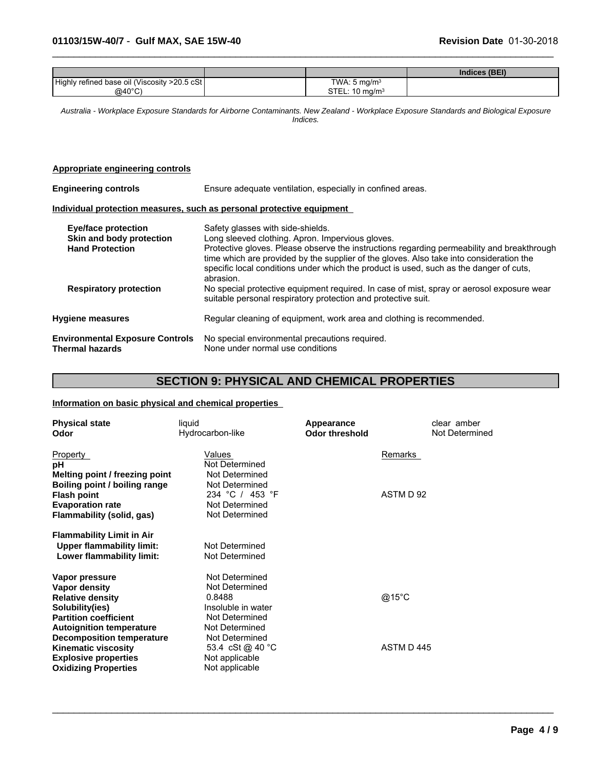|                                               |                            | Indices (BEI) |
|-----------------------------------------------|----------------------------|---------------|
| Highly refined base oil (Viscosity >20.5 cSt) | TWA: $5 \text{ mg/m}^3$    |               |
| @40 $^{\circ}$ C)                             | STEL: 10 mg/m <sup>3</sup> |               |

 $\_$  ,  $\_$  ,  $\_$  ,  $\_$  ,  $\_$  ,  $\_$  ,  $\_$  ,  $\_$  ,  $\_$  ,  $\_$  ,  $\_$  ,  $\_$  ,  $\_$  ,  $\_$  ,  $\_$  ,  $\_$  ,  $\_$  ,  $\_$  ,  $\_$  ,  $\_$  ,  $\_$  ,  $\_$  ,  $\_$  ,  $\_$  ,  $\_$  ,  $\_$  ,  $\_$  ,  $\_$  ,  $\_$  ,  $\_$  ,  $\_$  ,  $\_$  ,  $\_$  ,  $\_$  ,  $\_$  ,  $\_$  ,  $\_$  ,

*Australia - Workplace Exposure Standards for Airborne Contaminants. New Zealand - Workplace Exposure Standards and Biological Exposure Indices.*

#### **Appropriate engineering controls**

| <b>Engineering controls</b>                               | Ensure adequate ventilation, especially in confined areas.                                                                                                                                                                                                                                   |  |  |
|-----------------------------------------------------------|----------------------------------------------------------------------------------------------------------------------------------------------------------------------------------------------------------------------------------------------------------------------------------------------|--|--|
|                                                           | Individual protection measures, such as personal protective equipment                                                                                                                                                                                                                        |  |  |
| Eye/face protection<br>Skin and body protection           | Safety glasses with side-shields.<br>Long sleeved clothing. Apron. Impervious gloves.                                                                                                                                                                                                        |  |  |
| <b>Hand Protection</b>                                    | Protective gloves. Please observe the instructions regarding permeability and breakthrough<br>time which are provided by the supplier of the gloves. Also take into consideration the<br>specific local conditions under which the product is used, such as the danger of cuts.<br>abrasion. |  |  |
| <b>Respiratory protection</b>                             | No special protective equipment required. In case of mist, spray or aerosol exposure wear<br>suitable personal respiratory protection and protective suit.                                                                                                                                   |  |  |
| <b>Hygiene measures</b>                                   | Regular cleaning of equipment, work area and clothing is recommended.                                                                                                                                                                                                                        |  |  |
| <b>Environmental Exposure Controls</b><br>Thermal hazards | No special environmental precautions required.<br>None under normal use conditions                                                                                                                                                                                                           |  |  |

# **SECTION 9: PHYSICAL AND CHEMICAL PROPERTIES**

 $\_$  ,  $\_$  ,  $\_$  ,  $\_$  ,  $\_$  ,  $\_$  ,  $\_$  ,  $\_$  ,  $\_$  ,  $\_$  ,  $\_$  ,  $\_$  ,  $\_$  ,  $\_$  ,  $\_$  ,  $\_$  ,  $\_$  ,  $\_$  ,  $\_$  ,  $\_$  ,  $\_$  ,  $\_$  ,  $\_$  ,  $\_$  ,  $\_$  ,  $\_$  ,  $\_$  ,  $\_$  ,  $\_$  ,  $\_$  ,  $\_$  ,  $\_$  ,  $\_$  ,  $\_$  ,  $\_$  ,  $\_$  ,  $\_$  ,

#### **Information on basic physical and chemical properties**

| <b>Physical state</b><br>Odor                                                                                                                                                                                                                                             | liquid<br>Hydrocarbon-like                                                                                                                                                     | Appearance<br><b>Odor threshold</b> | clear amber<br>Not Determined |
|---------------------------------------------------------------------------------------------------------------------------------------------------------------------------------------------------------------------------------------------------------------------------|--------------------------------------------------------------------------------------------------------------------------------------------------------------------------------|-------------------------------------|-------------------------------|
| Property<br>рH<br>Melting point / freezing point                                                                                                                                                                                                                          | Values<br>Not Determined<br>Not Determined                                                                                                                                     | Remarks                             |                               |
| Boiling point / boiling range<br><b>Flash point</b><br><b>Evaporation rate</b><br>Flammability (solid, gas)                                                                                                                                                               | Not Determined<br>234 °C / 453 °F<br>Not Determined<br>Not Determined                                                                                                          | ASTM D 92                           |                               |
| <b>Flammability Limit in Air</b><br><b>Upper flammability limit:</b><br>Lower flammability limit:                                                                                                                                                                         | Not Determined<br>Not Determined                                                                                                                                               |                                     |                               |
| Vapor pressure<br>Vapor density<br><b>Relative density</b><br>Solubility(ies)<br><b>Partition coefficient</b><br><b>Autoignition temperature</b><br><b>Decomposition temperature</b><br>Kinematic viscosity<br><b>Explosive properties</b><br><b>Oxidizing Properties</b> | Not Determined<br>Not Determined<br>0.8488<br>Insoluble in water<br>Not Determined<br>Not Determined<br>Not Determined<br>53.4 cSt @ 40 °C<br>Not applicable<br>Not applicable | @15°C<br>ASTM D445                  |                               |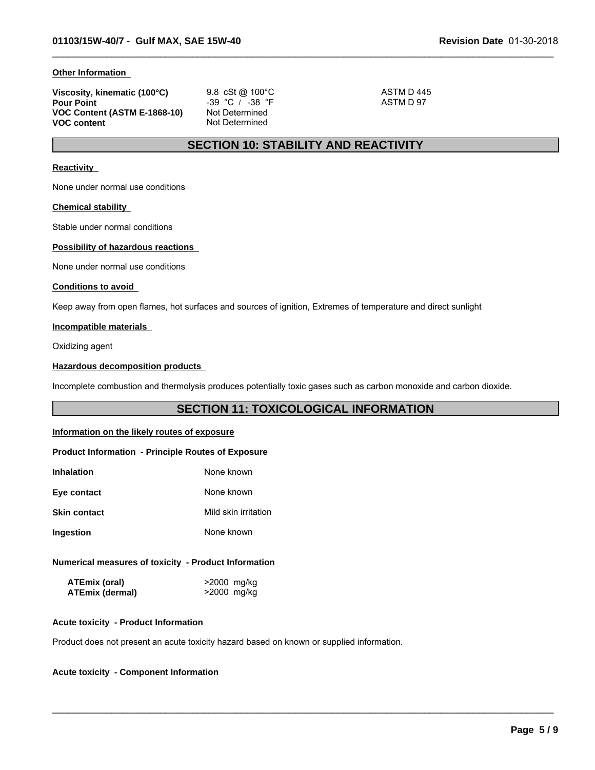#### **Other Information**

| Viscosity, kinematic (100°C) | 9.8 cSt @ 100 °C    | ASTM D 445 |  |
|------------------------------|---------------------|------------|--|
| <b>Pour Point</b>            | $-39$ °C / $-38$ °F | ASTM D 97  |  |
| VOC Content (ASTM E-1868-10) | Not Determined      |            |  |
| VOC content                  | Not Determined      |            |  |

 $\_$  ,  $\_$  ,  $\_$  ,  $\_$  ,  $\_$  ,  $\_$  ,  $\_$  ,  $\_$  ,  $\_$  ,  $\_$  ,  $\_$  ,  $\_$  ,  $\_$  ,  $\_$  ,  $\_$  ,  $\_$  ,  $\_$  ,  $\_$  ,  $\_$  ,  $\_$  ,  $\_$  ,  $\_$  ,  $\_$  ,  $\_$  ,  $\_$  ,  $\_$  ,  $\_$  ,  $\_$  ,  $\_$  ,  $\_$  ,  $\_$  ,  $\_$  ,  $\_$  ,  $\_$  ,  $\_$  ,  $\_$  ,  $\_$  ,

# **SECTION 10: STABILITY AND REACTIVITY**

#### **Reactivity**

None under normal use conditions

#### **Chemical stability**

Stable under normal conditions

#### **Possibility of hazardous reactions**

None under normal use conditions

#### **Conditions to avoid**

Keep away from open flames, hot surfaces and sources of ignition, Extremes of temperature and direct sunlight

#### **Incompatible materials**

Oxidizing agent

#### **Hazardous decomposition products**

Incomplete combustion and thermolysis produces potentially toxic gases such as carbon monoxide and carbon dioxide.

# **SECTION 11: TOXICOLOGICAL INFORMATION**

 $\_$  ,  $\_$  ,  $\_$  ,  $\_$  ,  $\_$  ,  $\_$  ,  $\_$  ,  $\_$  ,  $\_$  ,  $\_$  ,  $\_$  ,  $\_$  ,  $\_$  ,  $\_$  ,  $\_$  ,  $\_$  ,  $\_$  ,  $\_$  ,  $\_$  ,  $\_$  ,  $\_$  ,  $\_$  ,  $\_$  ,  $\_$  ,  $\_$  ,  $\_$  ,  $\_$  ,  $\_$  ,  $\_$  ,  $\_$  ,  $\_$  ,  $\_$  ,  $\_$  ,  $\_$  ,  $\_$  ,  $\_$  ,  $\_$  ,

#### **Information on the likely routes of exposure**

#### **Product Information - Principle Routes of Exposure**

| Inhalation   | None known           |
|--------------|----------------------|
| Eye contact  | None known           |
| Skin contact | Mild skin irritation |
| Ingestion    | None known           |

#### **Numerical measures of toxicity - Product Information**

| ATEmix (oral)          | >2000 mg/kg |
|------------------------|-------------|
| <b>ATEmix (dermal)</b> | >2000 mg/kg |

#### **Acute toxicity - Product Information**

Product does not present an acute toxicity hazard based on known or supplied information.

#### **Acute toxicity - Component Information**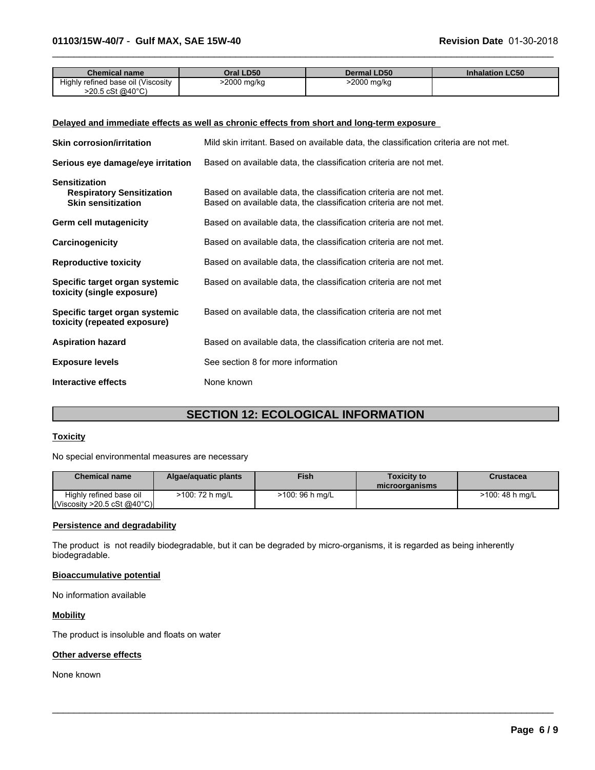| <b>Chemical name</b>               | Oral LD50   | <b>Dermal LD50</b> | <b>Inhalation LC50</b> |
|------------------------------------|-------------|--------------------|------------------------|
| Highly refined base oil (Viscosity | >2000 mg/kg | 2000 mg/kg         |                        |
| >20.5 cSt @40°C)                   |             |                    |                        |

 $\_$  ,  $\_$  ,  $\_$  ,  $\_$  ,  $\_$  ,  $\_$  ,  $\_$  ,  $\_$  ,  $\_$  ,  $\_$  ,  $\_$  ,  $\_$  ,  $\_$  ,  $\_$  ,  $\_$  ,  $\_$  ,  $\_$  ,  $\_$  ,  $\_$  ,  $\_$  ,  $\_$  ,  $\_$  ,  $\_$  ,  $\_$  ,  $\_$  ,  $\_$  ,  $\_$  ,  $\_$  ,  $\_$  ,  $\_$  ,  $\_$  ,  $\_$  ,  $\_$  ,  $\_$  ,  $\_$  ,  $\_$  ,  $\_$  ,

#### **Delayed and immediate effects as well as chronic effects from short and long-term exposure**

| <b>Skin corrosion/irritation</b>                                                      | Mild skin irritant. Based on available data, the classification criteria are not met.                                                  |
|---------------------------------------------------------------------------------------|----------------------------------------------------------------------------------------------------------------------------------------|
| Serious eye damage/eye irritation                                                     | Based on available data, the classification criteria are not met.                                                                      |
| <b>Sensitization</b><br><b>Respiratory Sensitization</b><br><b>Skin sensitization</b> | Based on available data, the classification criteria are not met.<br>Based on available data, the classification criteria are not met. |
| Germ cell mutagenicity                                                                | Based on available data, the classification criteria are not met.                                                                      |
| Carcinogenicity                                                                       | Based on available data, the classification criteria are not met.                                                                      |
| <b>Reproductive toxicity</b>                                                          | Based on available data, the classification criteria are not met.                                                                      |
| Specific target organ systemic<br>toxicity (single exposure)                          | Based on available data, the classification criteria are not met                                                                       |
| Specific target organ systemic<br>toxicity (repeated exposure)                        | Based on available data, the classification criteria are not met                                                                       |
| <b>Aspiration hazard</b>                                                              | Based on available data, the classification criteria are not met.                                                                      |
| <b>Exposure levels</b>                                                                | See section 8 for more information                                                                                                     |
| Interactive effects                                                                   | None known                                                                                                                             |

# **SECTION 12: ECOLOGICAL INFORMATION**

#### **Toxicity**

No special environmental measures are necessary

| <b>Chemical name</b>                                   | Algae/aguatic plants | <b>Fish</b>     | <b>Toxicity to</b><br>microorganisms | Crustacea       |
|--------------------------------------------------------|----------------------|-----------------|--------------------------------------|-----------------|
| Highly refined base oil<br> Viscosity > 20.5 cSt @40°C | $>100:72 h$ mg/L     | >100: 96 h mg/L |                                      | >100: 48 h mg/L |

 $\_$  ,  $\_$  ,  $\_$  ,  $\_$  ,  $\_$  ,  $\_$  ,  $\_$  ,  $\_$  ,  $\_$  ,  $\_$  ,  $\_$  ,  $\_$  ,  $\_$  ,  $\_$  ,  $\_$  ,  $\_$  ,  $\_$  ,  $\_$  ,  $\_$  ,  $\_$  ,  $\_$  ,  $\_$  ,  $\_$  ,  $\_$  ,  $\_$  ,  $\_$  ,  $\_$  ,  $\_$  ,  $\_$  ,  $\_$  ,  $\_$  ,  $\_$  ,  $\_$  ,  $\_$  ,  $\_$  ,  $\_$  ,  $\_$  ,

#### **Persistence and degradability**

The product is not readily biodegradable, but it can be degraded by micro-organisms, it is regarded as being inherently biodegradable.

#### **Bioaccumulative potential**

No information available

#### **Mobility**

The product is insoluble and floats on water

#### **Other adverse effects**

None known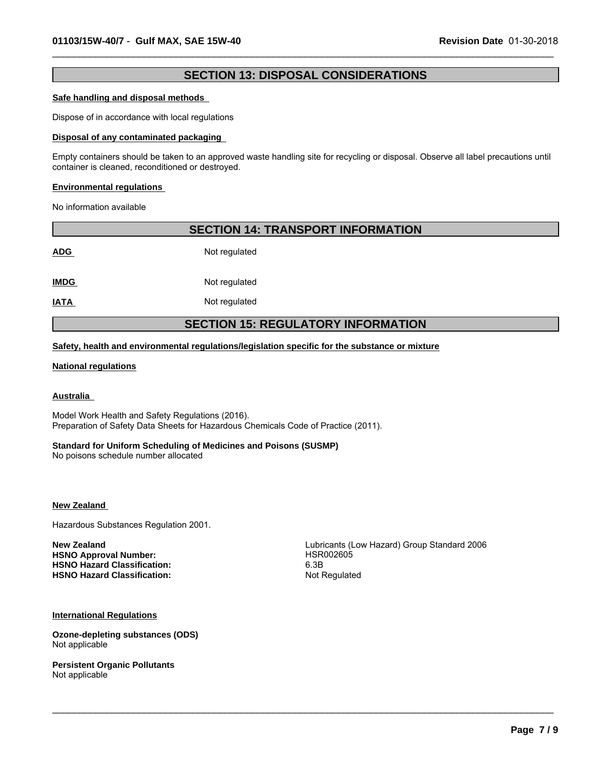# **SECTION 13: DISPOSAL CONSIDERATIONS**

 $\_$  ,  $\_$  ,  $\_$  ,  $\_$  ,  $\_$  ,  $\_$  ,  $\_$  ,  $\_$  ,  $\_$  ,  $\_$  ,  $\_$  ,  $\_$  ,  $\_$  ,  $\_$  ,  $\_$  ,  $\_$  ,  $\_$  ,  $\_$  ,  $\_$  ,  $\_$  ,  $\_$  ,  $\_$  ,  $\_$  ,  $\_$  ,  $\_$  ,  $\_$  ,  $\_$  ,  $\_$  ,  $\_$  ,  $\_$  ,  $\_$  ,  $\_$  ,  $\_$  ,  $\_$  ,  $\_$  ,  $\_$  ,  $\_$  ,

#### **Safe handling and disposal methods**

Dispose of in accordance with local regulations

#### **Disposal of any contaminated packaging**

Empty containers should be taken to an approved waste handling site for recycling or disposal. Observe all label precautions until container is cleaned, reconditioned or destroyed.

#### **Environmental regulations**

No information available

| <b>SECTION 14: TRANSPORT INFORMATION</b>  |               |  |  |  |
|-------------------------------------------|---------------|--|--|--|
| <b>ADG</b>                                | Not regulated |  |  |  |
| <b>IMDG</b>                               | Not regulated |  |  |  |
| <b>IATA</b>                               | Not regulated |  |  |  |
| <b>SECTION 15: REGULATORY INFORMATION</b> |               |  |  |  |

#### **Safety, health and environmental regulations/legislation specific for the substance or mixture**

#### **National regulations**

#### **Australia**

Model Work Health and Safety Regulations (2016). Preparation of Safety Data Sheets for Hazardous Chemicals Code of Practice (2011).

#### **Standard for Uniform Scheduling of Medicines and Poisons (SUSMP)**

No poisons schedule number allocated

#### **New Zealand**

Hazardous Substances Regulation 2001.

HSNO Approval Number: **HSR002605 HSNO Hazard Classification:** 6.3B **HSNO Hazard Classification:** Not Regulated

**New Zealand New Zealand Lubricants (Low Hazard)** Group Standard 2006

 $\_$  ,  $\_$  ,  $\_$  ,  $\_$  ,  $\_$  ,  $\_$  ,  $\_$  ,  $\_$  ,  $\_$  ,  $\_$  ,  $\_$  ,  $\_$  ,  $\_$  ,  $\_$  ,  $\_$  ,  $\_$  ,  $\_$  ,  $\_$  ,  $\_$  ,  $\_$  ,  $\_$  ,  $\_$  ,  $\_$  ,  $\_$  ,  $\_$  ,  $\_$  ,  $\_$  ,  $\_$  ,  $\_$  ,  $\_$  ,  $\_$  ,  $\_$  ,  $\_$  ,  $\_$  ,  $\_$  ,  $\_$  ,  $\_$  ,

**International Regulations**

**Ozone-depleting substances (ODS)** Not applicable

**Persistent Organic Pollutants** Not applicable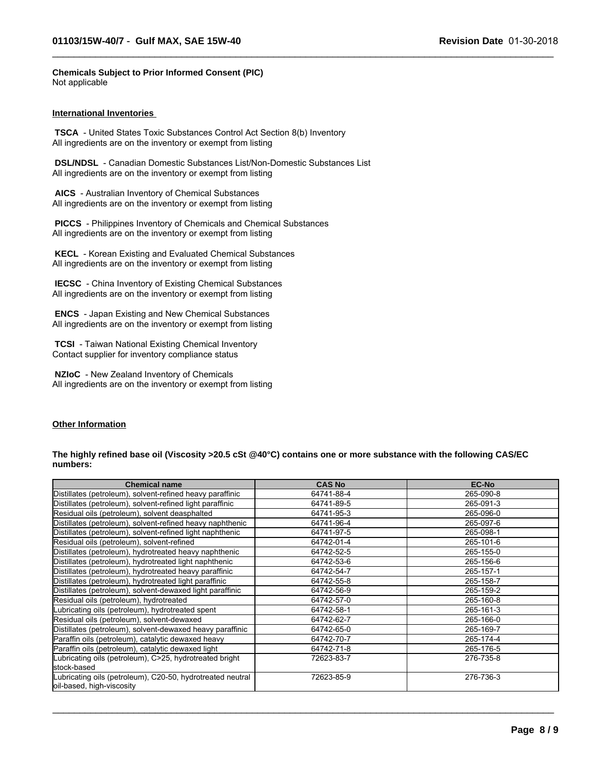**Chemicals Subject to Prior Informed Consent (PIC)** Not applicable

#### **International Inventories**

 **TSCA** - United States Toxic Substances Control Act Section 8(b) Inventory All ingredients are on the inventory or exempt from listing

 **DSL/NDSL** - Canadian Domestic Substances List/Non-Domestic Substances List All ingredients are on the inventory or exempt from listing

 **AICS** - Australian Inventory of Chemical Substances All ingredients are on the inventory or exempt from listing

 **PICCS** - Philippines Inventory of Chemicals and Chemical Substances All ingredients are on the inventory or exempt from listing

 **KECL** - Korean Existing and Evaluated Chemical Substances All ingredients are on the inventory or exempt from listing

 **IECSC** - China Inventory of Existing Chemical Substances All ingredients are on the inventory or exempt from listing

 **ENCS** - Japan Existing and New Chemical Substances All ingredients are on the inventory or exempt from listing

 **TCSI** - Taiwan National Existing Chemical Inventory Contact supplier for inventory compliance status

 **NZIoC** - New Zealand Inventory of Chemicals All ingredients are on the inventory or exempt from listing

#### **Other Information**

#### **The highly refined base oil (Viscosity >20.5 cSt @40°C) contains one or more substance with the following CAS/EC numbers:**

 $\_$  ,  $\_$  ,  $\_$  ,  $\_$  ,  $\_$  ,  $\_$  ,  $\_$  ,  $\_$  ,  $\_$  ,  $\_$  ,  $\_$  ,  $\_$  ,  $\_$  ,  $\_$  ,  $\_$  ,  $\_$  ,  $\_$  ,  $\_$  ,  $\_$  ,  $\_$  ,  $\_$  ,  $\_$  ,  $\_$  ,  $\_$  ,  $\_$  ,  $\_$  ,  $\_$  ,  $\_$  ,  $\_$  ,  $\_$  ,  $\_$  ,  $\_$  ,  $\_$  ,  $\_$  ,  $\_$  ,  $\_$  ,  $\_$  ,

| <b>Chemical name</b>                                                                    | <b>CAS No</b> | <b>EC-No</b> |
|-----------------------------------------------------------------------------------------|---------------|--------------|
| Distillates (petroleum), solvent-refined heavy paraffinic                               | 64741-88-4    | 265-090-8    |
| Distillates (petroleum), solvent-refined light paraffinic                               | 64741-89-5    | 265-091-3    |
| Residual oils (petroleum), solvent deasphalted                                          | 64741-95-3    | 265-096-0    |
| Distillates (petroleum), solvent-refined heavy naphthenic                               | 64741-96-4    | 265-097-6    |
| Distillates (petroleum), solvent-refined light naphthenic                               | 64741-97-5    | 265-098-1    |
| Residual oils (petroleum), solvent-refined                                              | 64742-01-4    | 265-101-6    |
| Distillates (petroleum), hydrotreated heavy naphthenic                                  | 64742-52-5    | 265-155-0    |
| Distillates (petroleum), hydrotreated light naphthenic                                  | 64742-53-6    | 265-156-6    |
| Distillates (petroleum), hydrotreated heavy paraffinic                                  | 64742-54-7    | 265-157-1    |
| Distillates (petroleum), hydrotreated light paraffinic                                  | 64742-55-8    | 265-158-7    |
| Distillates (petroleum), solvent-dewaxed light paraffinic                               | 64742-56-9    | 265-159-2    |
| Residual oils (petroleum), hydrotreated                                                 | 64742-57-0    | 265-160-8    |
| Lubricating oils (petroleum), hydrotreated spent                                        | 64742-58-1    | 265-161-3    |
| Residual oils (petroleum), solvent-dewaxed                                              | 64742-62-7    | 265-166-0    |
| Distillates (petroleum), solvent-dewaxed heavy paraffinic                               | 64742-65-0    | 265-169-7    |
| Paraffin oils (petroleum), catalytic dewaxed heavy                                      | 64742-70-7    | 265-174-4    |
| Paraffin oils (petroleum), catalytic dewaxed light                                      | 64742-71-8    | 265-176-5    |
| Lubricating oils (petroleum), C>25, hydrotreated bright                                 | 72623-83-7    | 276-735-8    |
| stock-based                                                                             |               |              |
| Lubricating oils (petroleum), C20-50, hydrotreated neutral<br>oil-based, high-viscosity | 72623-85-9    | 276-736-3    |

 $\_$  ,  $\_$  ,  $\_$  ,  $\_$  ,  $\_$  ,  $\_$  ,  $\_$  ,  $\_$  ,  $\_$  ,  $\_$  ,  $\_$  ,  $\_$  ,  $\_$  ,  $\_$  ,  $\_$  ,  $\_$  ,  $\_$  ,  $\_$  ,  $\_$  ,  $\_$  ,  $\_$  ,  $\_$  ,  $\_$  ,  $\_$  ,  $\_$  ,  $\_$  ,  $\_$  ,  $\_$  ,  $\_$  ,  $\_$  ,  $\_$  ,  $\_$  ,  $\_$  ,  $\_$  ,  $\_$  ,  $\_$  ,  $\_$  ,